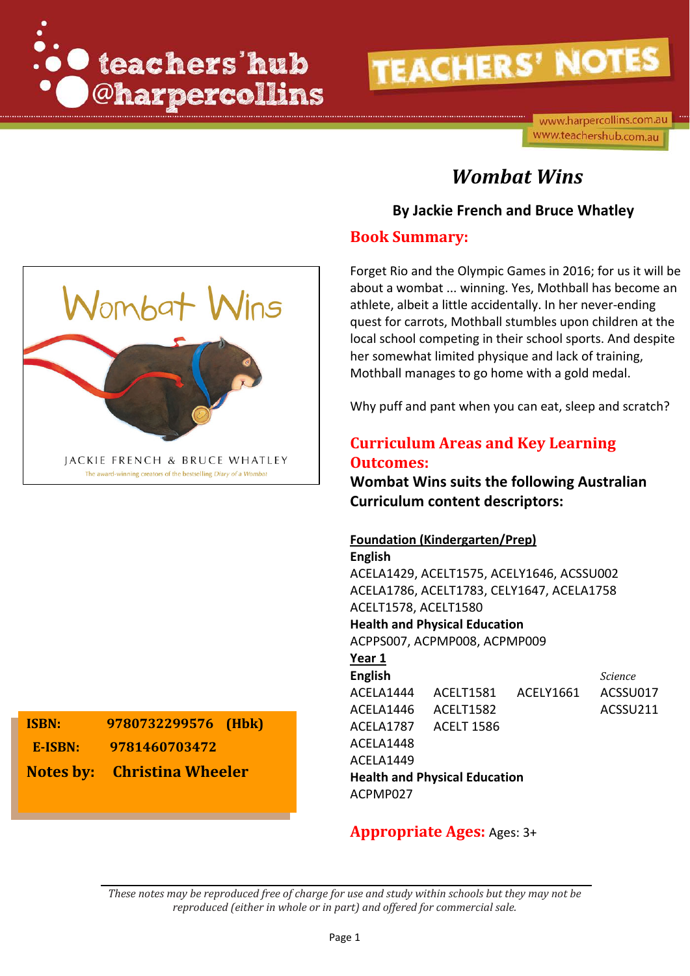

www.harpercollins.com.au www.teachershub.com.au

# *Wombat Wins*

## **By Jackie French and Bruce Whatley**

### **Book Summary:**

Forget Rio and the Olympic Games in 2016; for us it will be about a wombat ... winning. Yes, Mothball has become an athlete, albeit a little accidentally. In her never-ending quest for carrots, Mothball stumbles upon children at the local school competing in their school sports. And despite her somewhat limited physique and lack of training, Mothball manages to go home with a gold medal.

Why puff and pant when you can eat, sleep and scratch?

## **Curriculum Areas and Key Learning Outcomes:**

**Wombat Wins suits the following Australian Curriculum content descriptors:**

### **Foundation (Kindergarten/Prep)**

**English** ACELA1429, ACELT1575, ACELY1646, ACSSU002 ACELA1786, ACELT1783, CELY1647, ACELA1758 ACELT1578, ACELT1580 **Health and Physical Education** ACPPS007, ACPMP008, ACPMP009

#### **Year 1**

**English** *Science* ACELA1444 ACELT1581 ACELY1661 ACSSU017 ACELA1446 ACELT1582 ACSSU211 ACELA1787 ACELT 1586 ACELA1448 ACELA1449 **Health and Physical Education** ACPMP027

## **Appropriate Ages:** Ages: 3+

*These notes may be reproduced free of charge for use and study within schools but they may not be reproduced (either in whole or in part) and offered for commercial sale.*



**ISBN: 9780732299576 (Hbk) E-ISBN: 9781460703472 Notes by: Christina Wheeler**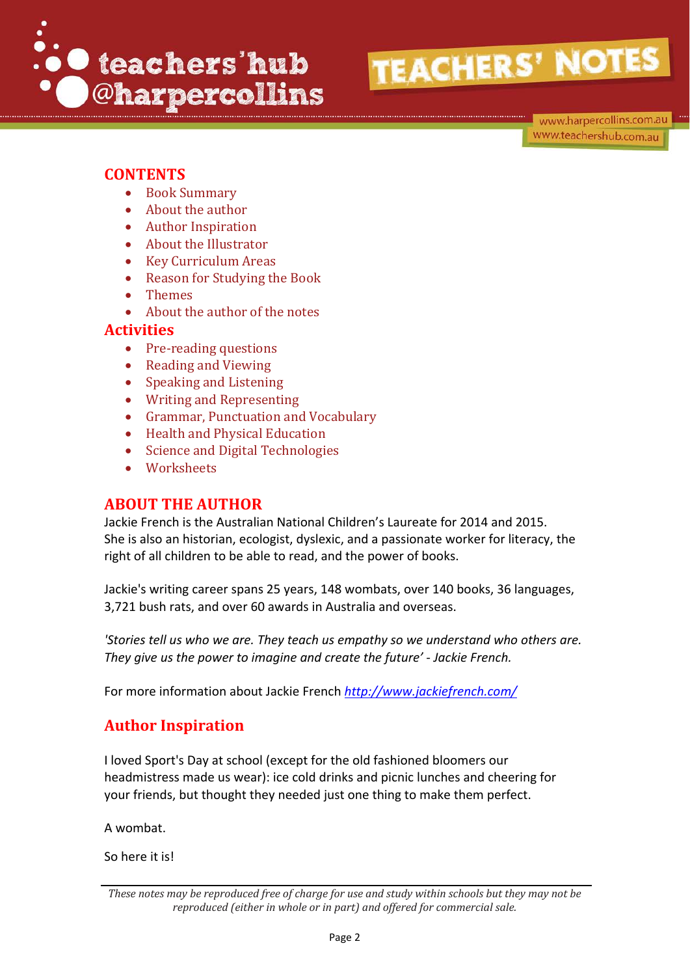

www.harpercollins.com.au www.teachershub.com.au

## **CONTENTS**

- Book Summary
- About the author
- Author Inspiration
- About the Illustrator
- Key Curriculum Areas
- Reason for Studying the Book
- Themes
- About the author of the notes

## **Activities**

- Pre-reading questions
- Reading and Viewing
- Speaking and Listening
- Writing and Representing
- Grammar, Punctuation and Vocabulary
- Health and Physical Education
- Science and Digital Technologies
- Worksheets

## **ABOUT THE AUTHOR**

Jackie French is the Australian National Children's Laureate for 2014 and 2015. She is also an historian, ecologist, dyslexic, and a passionate worker for literacy, the right of all children to be able to read, and the power of books.

Jackie's writing career spans 25 years, 148 wombats, over 140 books, 36 languages, 3,721 bush rats, and over 60 awards in Australia and overseas.

*'Stories tell us who we are. They teach us empathy so we understand who others are. They give us the power to imagine and create the future' - Jackie French.*

For more information about Jackie French *<http://www.jackiefrench.com/>*

## **Author Inspiration**

I loved Sport's Day at school (except for the old fashioned bloomers our headmistress made us wear): ice cold drinks and picnic lunches and cheering for your friends, but thought they needed just one thing to make them perfect.

A wombat.

So here it is!

*These notes may be reproduced free of charge for use and study within schools but they may not be reproduced (either in whole or in part) and offered for commercial sale.*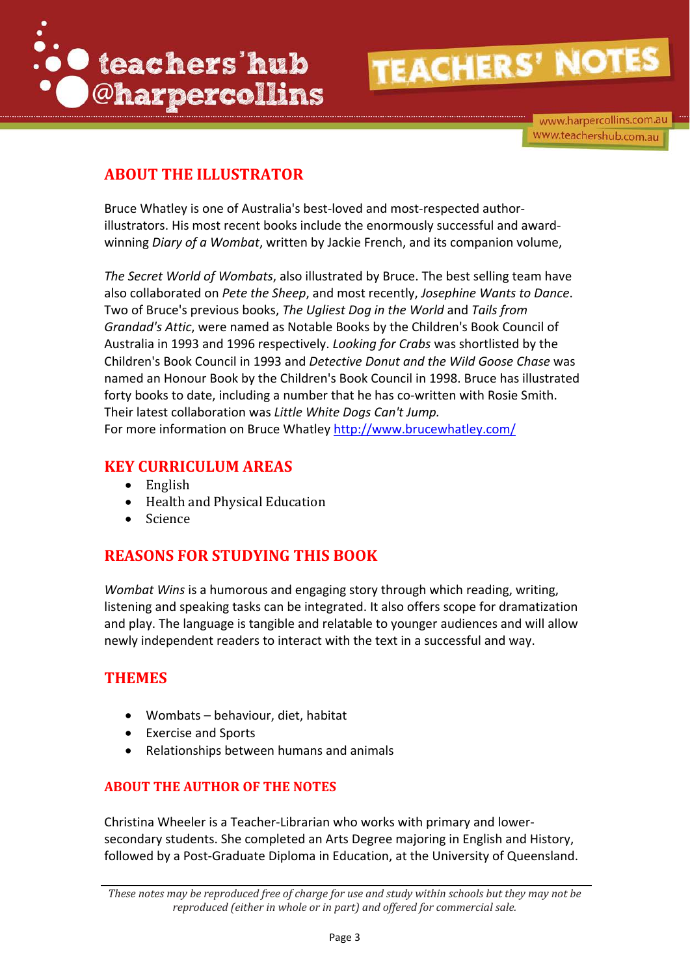

www.harpercollins.com.au www.teachershub.com.au

# **ABOUT THE ILLUSTRATOR**

Bruce Whatley is one of Australia's best-loved and most-respected authorillustrators. His most recent books include the enormously successful and awardwinning *Diary of a Wombat*, written by Jackie French, and its companion volume,

*The Secret World of Wombats*, also illustrated by Bruce. The best selling team have also collaborated on *Pete the Sheep*, and most recently, *Josephine Wants to Dance*. Two of Bruce's previous books, *The Ugliest Dog in the World* and *Tails from Grandad's Attic*, were named as Notable Books by the Children's Book Council of Australia in 1993 and 1996 respectively. *Looking for Crabs* was shortlisted by the Children's Book Council in 1993 and *Detective Donut and the Wild Goose Chase* was named an Honour Book by the Children's Book Council in 1998. Bruce has illustrated forty books to date, including a number that he has co-written with Rosie Smith. Their latest collaboration was *Little White Dogs Can't Jump.* For more information on Bruce Whatley<http://www.brucewhatley.com/>

## **KEY CURRICULUM AREAS**

- English
- Health and Physical Education
- Science

# **REASONS FOR STUDYING THIS BOOK**

*Wombat Wins* is a humorous and engaging story through which reading, writing, listening and speaking tasks can be integrated. It also offers scope for dramatization and play. The language is tangible and relatable to younger audiences and will allow newly independent readers to interact with the text in a successful and way.

## **THEMES**

- Wombats behaviour, diet, habitat
- Exercise and Sports
- Relationships between humans and animals

## **ABOUT THE AUTHOR OF THE NOTES**

Christina Wheeler is a Teacher-Librarian who works with primary and lowersecondary students. She completed an Arts Degree majoring in English and History, followed by a Post-Graduate Diploma in Education, at the University of Queensland.

*These notes may be reproduced free of charge for use and study within schools but they may not be reproduced (either in whole or in part) and offered for commercial sale.*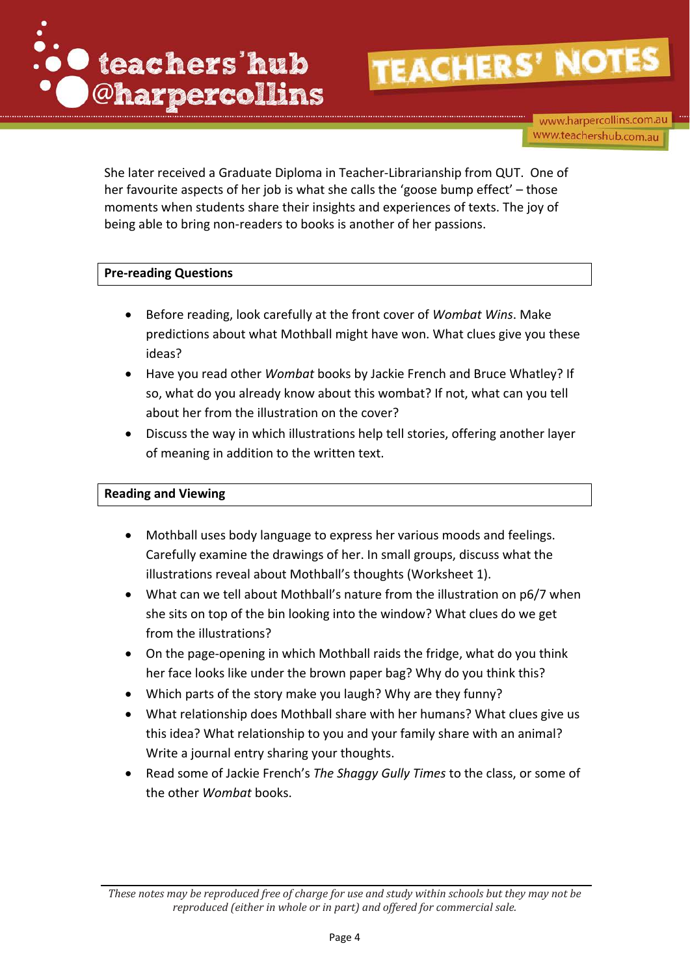

www.harpercollins.com.au www.teachershub.com.au

She later received a Graduate Diploma in Teacher-Librarianship from QUT. One of her favourite aspects of her job is what she calls the 'goose bump effect' – those moments when students share their insights and experiences of texts. The joy of being able to bring non-readers to books is another of her passions.

#### **Pre-reading Questions**

- Before reading, look carefully at the front cover of *Wombat Wins*. Make predictions about what Mothball might have won. What clues give you these ideas?
- Have you read other *Wombat* books by Jackie French and Bruce Whatley? If so, what do you already know about this wombat? If not, what can you tell about her from the illustration on the cover?
- Discuss the way in which illustrations help tell stories, offering another layer of meaning in addition to the written text.

#### **Reading and Viewing**

- Mothball uses body language to express her various moods and feelings. Carefully examine the drawings of her. In small groups, discuss what the illustrations reveal about Mothball's thoughts (Worksheet 1).
- What can we tell about Mothball's nature from the illustration on p6/7 when she sits on top of the bin looking into the window? What clues do we get from the illustrations?
- On the page-opening in which Mothball raids the fridge, what do you think her face looks like under the brown paper bag? Why do you think this?
- Which parts of the story make you laugh? Why are they funny?
- What relationship does Mothball share with her humans? What clues give us this idea? What relationship to you and your family share with an animal? Write a journal entry sharing your thoughts.
- Read some of Jackie French's *The Shaggy Gully Times* to the class, or some of the other *Wombat* books.

*These notes may be reproduced free of charge for use and study within schools but they may not be reproduced (either in whole or in part) and offered for commercial sale.*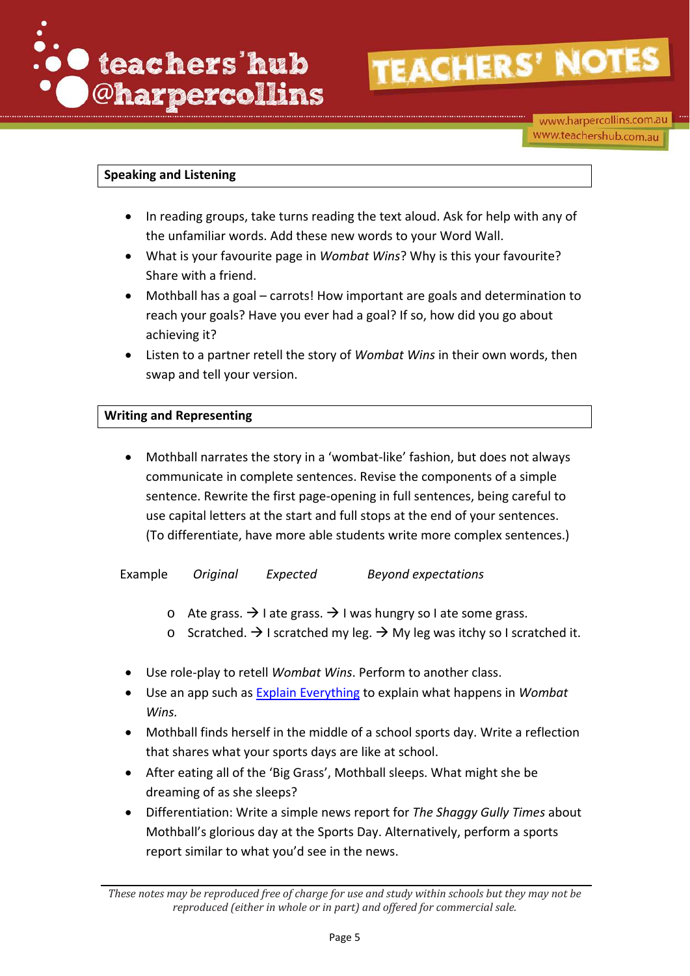

#### **Speaking and Listening**

- In reading groups, take turns reading the text aloud. Ask for help with any of the unfamiliar words. Add these new words to your Word Wall.
- What is your favourite page in *Wombat Wins*? Why is this your favourite? Share with a friend.
- Mothball has a goal carrots! How important are goals and determination to reach your goals? Have you ever had a goal? If so, how did you go about achieving it?
- Listen to a partner retell the story of *Wombat Wins* in their own words, then swap and tell your version.

#### **Writing and Representing**

• Mothball narrates the story in a 'wombat-like' fashion, but does not always communicate in complete sentences. Revise the components of a simple sentence. Rewrite the first page-opening in full sentences, being careful to use capital letters at the start and full stops at the end of your sentences. (To differentiate, have more able students write more complex sentences.)

Example *Original Expected Beyond expectations* 

- o Ate grass.  $\rightarrow$  I ate grass.  $\rightarrow$  I was hungry so I ate some grass.
- o Scratched.  $\rightarrow$  I scratched my leg.  $\rightarrow$  My leg was itchy so I scratched it.
- Use role-play to retell *Wombat Wins*. Perform to another class.
- Use an app such as [Explain Everything](http://explaineverything.com/) to explain what happens in *Wombat Wins.*
- Mothball finds herself in the middle of a school sports day. Write a reflection that shares what your sports days are like at school.
- After eating all of the 'Big Grass', Mothball sleeps. What might she be dreaming of as she sleeps?
- Differentiation: Write a simple news report for *The Shaggy Gully Times* about Mothball's glorious day at the Sports Day. Alternatively, perform a sports report similar to what you'd see in the news.

*These notes may be reproduced free of charge for use and study within schools but they may not be reproduced (either in whole or in part) and offered for commercial sale.*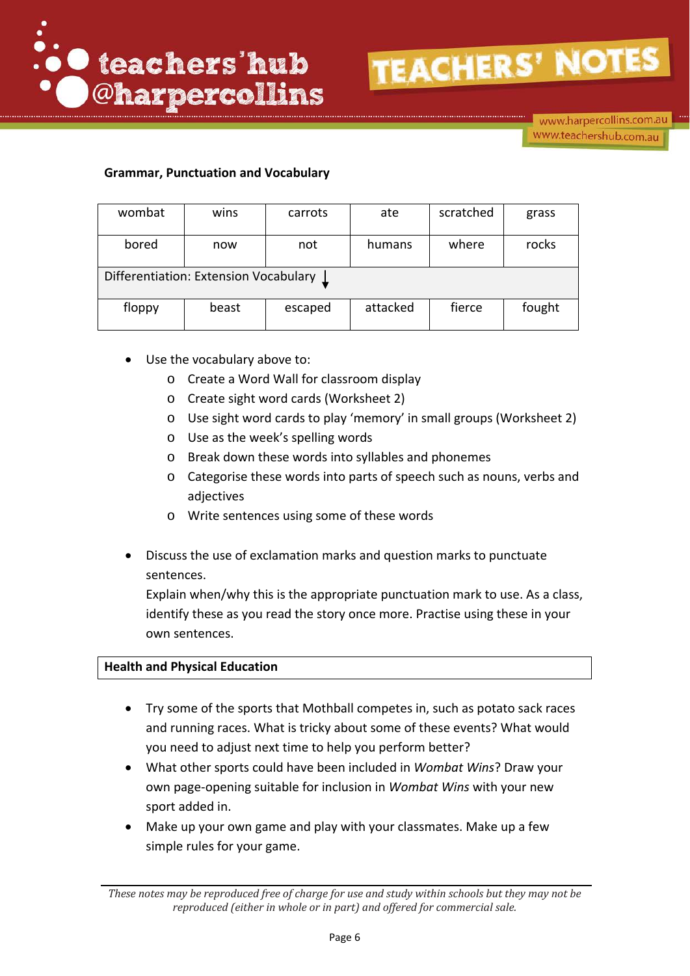

www.harpercollins.com.au www.teachershub.com.au

### **Grammar, Punctuation and Vocabulary**

| wombat                                | wins  | carrots | ate      | scratched | grass  |  |  |
|---------------------------------------|-------|---------|----------|-----------|--------|--|--|
| bored                                 | now   | not     | humans   | where     | rocks  |  |  |
| Differentiation: Extension Vocabulary |       |         |          |           |        |  |  |
| floppy                                | beast | escaped | attacked | fierce    | fought |  |  |

- Use the vocabulary above to:
	- o Create a Word Wall for classroom display
	- o Create sight word cards (Worksheet 2)
	- o Use sight word cards to play 'memory' in small groups (Worksheet 2)
	- o Use as the week's spelling words
	- o Break down these words into syllables and phonemes
	- o Categorise these words into parts of speech such as nouns, verbs and adjectives
	- o Write sentences using some of these words
- Discuss the use of exclamation marks and question marks to punctuate sentences.

Explain when/why this is the appropriate punctuation mark to use. As a class, identify these as you read the story once more. Practise using these in your own sentences.

#### **Health and Physical Education**

- Try some of the sports that Mothball competes in, such as potato sack races and running races. What is tricky about some of these events? What would you need to adjust next time to help you perform better?
- What other sports could have been included in *Wombat Wins*? Draw your own page-opening suitable for inclusion in *Wombat Wins* with your new sport added in.
- Make up your own game and play with your classmates. Make up a few simple rules for your game.

*These notes may be reproduced free of charge for use and study within schools but they may not be reproduced (either in whole or in part) and offered for commercial sale.*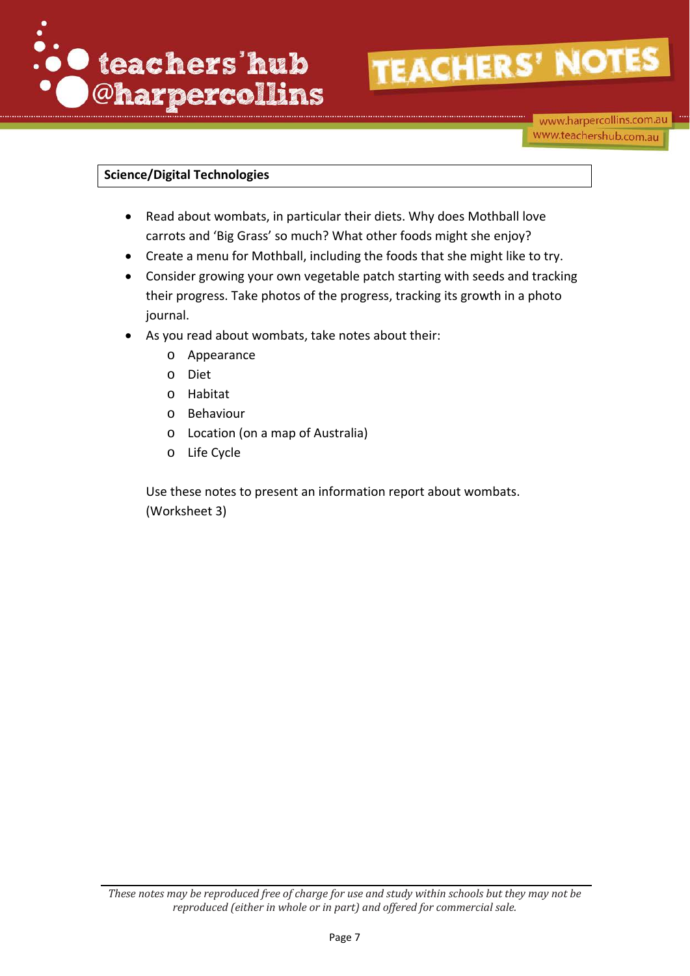

### **Science/Digital Technologies**

- Read about wombats, in particular their diets. Why does Mothball love carrots and 'Big Grass' so much? What other foods might she enjoy?
- Create a menu for Mothball, including the foods that she might like to try.
- Consider growing your own vegetable patch starting with seeds and tracking their progress. Take photos of the progress, tracking its growth in a photo journal.
- As you read about wombats, take notes about their:
	- o Appearance
	- o Diet
	- o Habitat
	- o Behaviour
	- o Location (on a map of Australia)
	- o Life Cycle

Use these notes to present an information report about wombats. (Worksheet 3)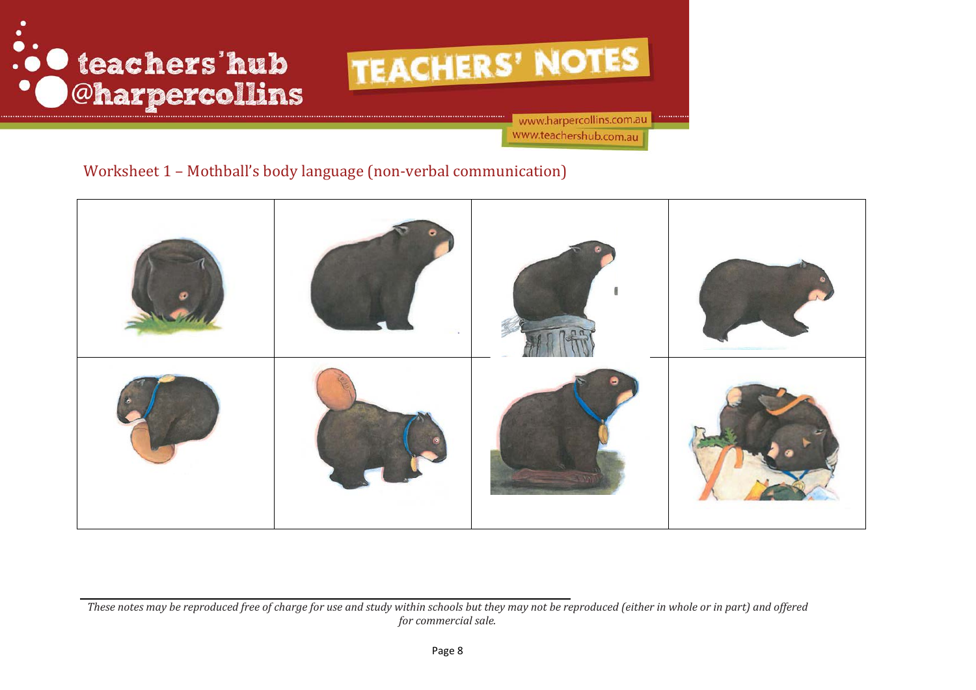



www.harpercollins.com.au www.teachershub.com.au

## Worksheet 1 – Mothball's body language (non-verbal communication)



*These notes may be reproduced free of charge for use and study within schools but they may not be reproduced (either in whole or in part) and offered for commercial sale.*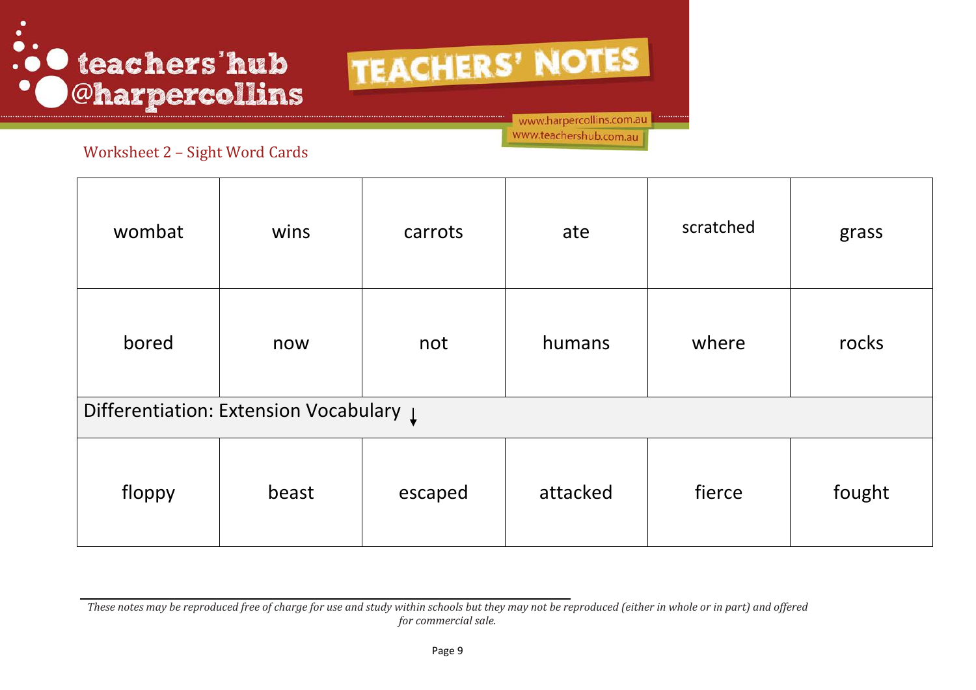# ... teachers'hub **Oharpercollins**

TEACHERS' NOTES

www.harpercollins.com.au

www.teachershub.com.au

Worksheet 2 – Sight Word Cards

| wombat                                             | wins  | carrots | ate      | scratched | grass  |  |
|----------------------------------------------------|-------|---------|----------|-----------|--------|--|
| bored                                              | now   | not     | humans   | where     | rocks  |  |
| Differentiation: Extension Vocabulary $\downarrow$ |       |         |          |           |        |  |
| floppy                                             | beast | escaped | attacked | fierce    | fought |  |

*These notes may be reproduced free of charge for use and study within schools but they may not be reproduced (either in whole or in part) and offered for commercial sale.*